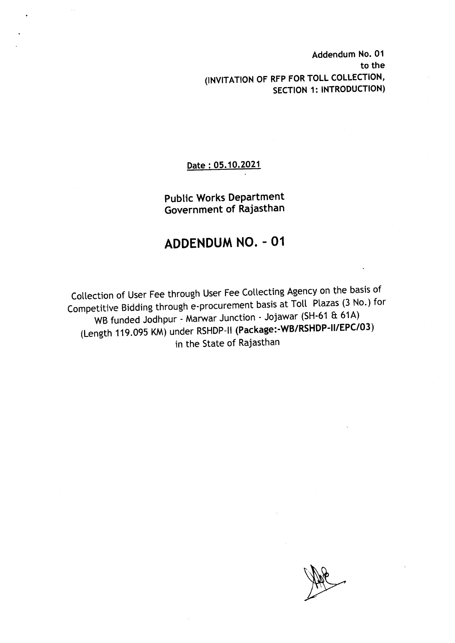Addendum No. 01 to the (INVITATION OF RFP FOR TOLL COLLECTION, SECTION 1: INTRODUCTION)

#### Date: 05.10.2021

Public Works Department Government of Rajasthan

## **ADDENDUM NO. - 01**

Collection of User Fee through User Fee Collecting Agency on the basis of Competitive Bidding through e-procurement basis at Toll Plazas (3 No.) for WB funded Jodhpur - Marwar Junction - Jojawar (SH-61 & 61A) (Length 119.095 KM) under RSHDP-II (Package:-WB/RSHDP-II/EPC/03) in the State of Rajasthan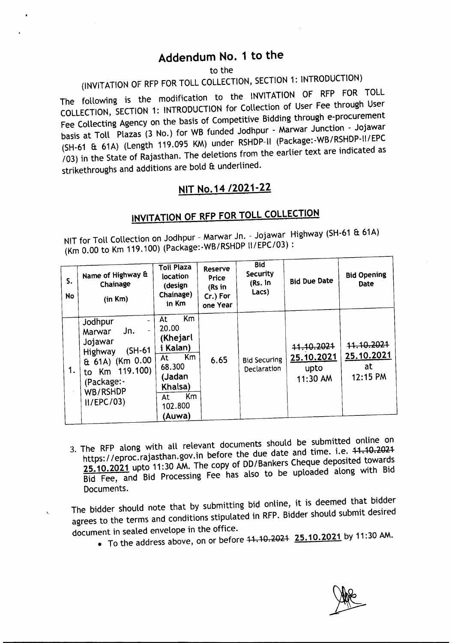## Addendum No.1 to the

to the

# (INVITATION OF RFP FOR TOLL COLLECTION, SECTION 1: INTRODUCTION)

The following is the modification to the INVITATION OF RFP FOR TOLL COLLECTION, SECTION 1: INTRODUCTION for Collection of User Fee through User Fee Collecting Agency on the basis of Competitive Bidding through e-procurement basis at Toll Plazas (3 No.) for WB funded Jodhpur - Marwar Junction - Jojawar (SH-61 a 61A) (Length 119.095 KM) under RSHDP-II(Package:-WB/RSHDP-II/EPC *103)* in the State of Rajasthan. The deletions from the earlier text are indicated as strikethroughs and additions are bold & underlined.

### NIT No.14 *12021-22*

## INVITATION OF RFP FOR TOLL COLLECTION

NIT for Toll Collection on Jodhpur - Marwar Jn. - Jojawar Highway (SH-61 & 61A) (Km 0.00 to Km 119.100) (Package:-WB/RSHDPII/EPC/03) :

| S.<br>No | Name of Highway &<br>Chainage<br>(in Km)                                                                                                 | <b>Toll Plaza</b><br>location<br>(design<br>Chainage)<br>in Km                                                        | Reserve<br>Price<br>(Rs in<br>Cr.) For<br>one Year | <b>Bid</b><br>Security<br>(Rs. In<br>Lacs) | <b>Bid Due Date</b>                            | <b>Bid Opening</b><br><b>Date</b>          |
|----------|------------------------------------------------------------------------------------------------------------------------------------------|-----------------------------------------------------------------------------------------------------------------------|----------------------------------------------------|--------------------------------------------|------------------------------------------------|--------------------------------------------|
| 1.       | Jodhpur<br>Jn.<br>Marwar<br>Jojawar<br>$(SH-61)$<br>Highway<br>& 61A) (Km 0.00<br>to Km 119.100)<br>(Package:-<br>WB/RSHDP<br>II/EPC/03) | Km<br>At<br>20.00<br>(Khejarl<br>i Kalan)<br>Km<br>At<br>68.300<br>(Jadan<br>Khalsa)<br>Km<br>At<br>102.800<br>(Auwa) | 6.65                                               | <b>Bid Securing</b><br>Declaration         | 44.10.2024<br>25.10.2021<br>upto<br>$11:30$ AM | 44.10.2024<br>25.10.2021<br>at<br>12:15 PM |

- 3. The RFP along with all relevant documents should be submitted online on https://eproc.rajasthan.gov.in before the due date and time. i.e. 44.40.2024 25.10.2021 upto 11:30 AM. The copy of DD*I*Bankers Cheque deposited towards Bid Fee, and Bid Processing Fee has also to be uploaded along with Bid Documents.
- The bidder should note that by submitting bid online, it is deemed that bidder agrees to the terms and conditions stipulated in RFP.Bidder should submit desired document in sealed envelope in the office.
	- To the address above, on or before  $+1.10.2021$   $25.10.2021$  by 11:30 AM.